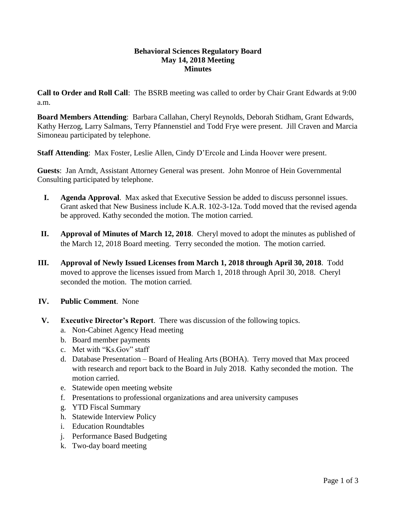#### **Behavioral Sciences Regulatory Board May 14, 2018 Meeting Minutes**

**Call to Order and Roll Call**: The BSRB meeting was called to order by Chair Grant Edwards at 9:00 a.m.

**Board Members Attending**: Barbara Callahan, Cheryl Reynolds, Deborah Stidham, Grant Edwards, Kathy Herzog, Larry Salmans, Terry Pfannenstiel and Todd Frye were present. Jill Craven and Marcia Simoneau participated by telephone.

**Staff Attending**: Max Foster, Leslie Allen, Cindy D'Ercole and Linda Hoover were present.

**Guests**:Jan Arndt, Assistant Attorney General was present. John Monroe of Hein Governmental Consulting participated by telephone.

- **I. Agenda Approval**. Max asked that Executive Session be added to discuss personnel issues. Grant asked that New Business include K.A.R. 102-3-12a. Todd moved that the revised agenda be approved. Kathy seconded the motion. The motion carried.
- **II. Approval of Minutes of March 12, 2018**. Cheryl moved to adopt the minutes as published of the March 12, 2018 Board meeting. Terry seconded the motion. The motion carried.
- **III. Approval of Newly Issued Licenses from March 1, 2018 through April 30, 2018**. Todd moved to approve the licenses issued from March 1, 2018 through April 30, 2018. Cheryl seconded the motion. The motion carried.
- **IV. Public Comment**. None
- **V. Executive Director's Report**. There was discussion of the following topics.
	- a. Non-Cabinet Agency Head meeting
	- b. Board member payments
	- c. Met with "Ks.Gov" staff
	- d. Database Presentation Board of Healing Arts (BOHA). Terry moved that Max proceed with research and report back to the Board in July 2018. Kathy seconded the motion. The motion carried.
	- e. Statewide open meeting website
	- f. Presentations to professional organizations and area university campuses
	- g. YTD Fiscal Summary
	- h. Statewide Interview Policy
	- i. Education Roundtables
	- j. Performance Based Budgeting
	- k. Two-day board meeting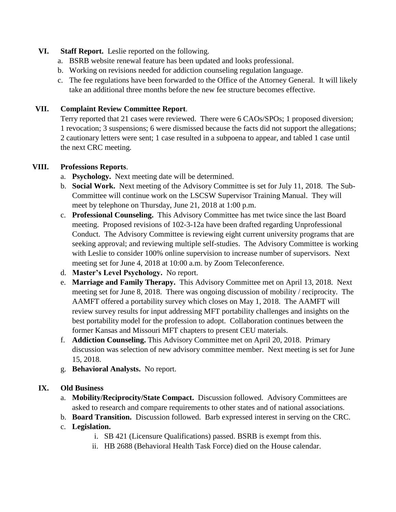### **VI. Staff Report.** Leslie reported on the following.

- a. BSRB website renewal feature has been updated and looks professional.
- b. Working on revisions needed for addiction counseling regulation language.
- c. The fee regulations have been forwarded to the Office of the Attorney General. It will likely take an additional three months before the new fee structure becomes effective.

## **VII. Complaint Review Committee Report**.

Terry reported that 21 cases were reviewed. There were 6 CAOs/SPOs; 1 proposed diversion; 1 revocation; 3 suspensions; 6 were dismissed because the facts did not support the allegations; 2 cautionary letters were sent; 1 case resulted in a subpoena to appear, and tabled 1 case until the next CRC meeting.

## **VIII. Professions Reports**.

- a. **Psychology.** Next meeting date will be determined.
- b. **Social Work.** Next meeting of the Advisory Committee is set for July 11, 2018. The Sub-Committee will continue work on the LSCSW Supervisor Training Manual. They will meet by telephone on Thursday, June 21, 2018 at 1:00 p.m.
- c. **Professional Counseling.** This Advisory Committee has met twice since the last Board meeting. Proposed revisions of 102-3-12a have been drafted regarding Unprofessional Conduct. The Advisory Committee is reviewing eight current university programs that are seeking approval; and reviewing multiple self-studies. The Advisory Committee is working with Leslie to consider 100% online supervision to increase number of supervisors. Next meeting set for June 4, 2018 at 10:00 a.m. by Zoom Teleconference.
- d. **Master's Level Psychology.** No report.
- e. **Marriage and Family Therapy.** This Advisory Committee met on April 13, 2018. Next meeting set for June 8, 2018. There was ongoing discussion of mobility / reciprocity. The AAMFT offered a portability survey which closes on May 1, 2018. The AAMFT will review survey results for input addressing MFT portability challenges and insights on the best portability model for the profession to adopt. Collaboration continues between the former Kansas and Missouri MFT chapters to present CEU materials.
- f. **Addiction Counseling.** This Advisory Committee met on April 20, 2018. Primary discussion was selection of new advisory committee member. Next meeting is set for June 15, 2018.
- g. **Behavioral Analysts.** No report.

# **IX. Old Business**

- a. **Mobility/Reciprocity/State Compact.** Discussion followed. Advisory Committees are asked to research and compare requirements to other states and of national associations.
- b. **Board Transition.** Discussion followed. Barb expressed interest in serving on the CRC.
- c. **Legislation.**
	- i. SB 421 (Licensure Qualifications) passed. BSRB is exempt from this.
	- ii. HB 2688 (Behavioral Health Task Force) died on the House calendar.